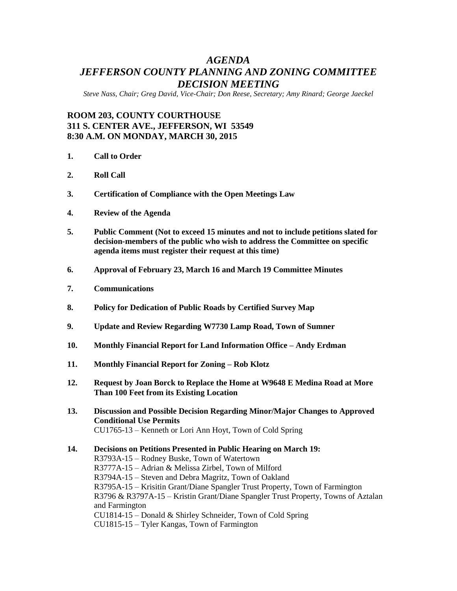## *AGENDA JEFFERSON COUNTY PLANNING AND ZONING COMMITTEE DECISION MEETING*

*Steve Nass, Chair; Greg David, Vice-Chair; Don Reese, Secretary; Amy Rinard; George Jaeckel*

## **ROOM 203, COUNTY COURTHOUSE 311 S. CENTER AVE., JEFFERSON, WI 53549 8:30 A.M. ON MONDAY, MARCH 30, 2015**

- **1. Call to Order**
- **2. Roll Call**
- **3. Certification of Compliance with the Open Meetings Law**
- **4. Review of the Agenda**
- **5. Public Comment (Not to exceed 15 minutes and not to include petitions slated for decision-members of the public who wish to address the Committee on specific agenda items must register their request at this time)**
- **6. Approval of February 23, March 16 and March 19 Committee Minutes**
- **7. Communications**
- **8. Policy for Dedication of Public Roads by Certified Survey Map**
- **9. Update and Review Regarding W7730 Lamp Road, Town of Sumner**
- **10. Monthly Financial Report for Land Information Office – Andy Erdman**
- **11. Monthly Financial Report for Zoning – Rob Klotz**
- **12. Request by Joan Borck to Replace the Home at W9648 E Medina Road at More Than 100 Feet from its Existing Location**
- **13. Discussion and Possible Decision Regarding Minor/Major Changes to Approved Conditional Use Permits** CU1765-13 – Kenneth or Lori Ann Hoyt, Town of Cold Spring
- **14. Decisions on Petitions Presented in Public Hearing on March 19:**  R3793A-15 – Rodney Buske, Town of Watertown R3777A-15 – Adrian & Melissa Zirbel, Town of Milford R3794A-15 – Steven and Debra Magritz, Town of Oakland R3795A-15 – Krisitin Grant/Diane Spangler Trust Property, Town of Farmington R3796 & R3797A-15 – Kristin Grant/Diane Spangler Trust Property, Towns of Aztalan and Farmington CU1814-15 – Donald & Shirley Schneider, Town of Cold Spring CU1815-15 – Tyler Kangas, Town of Farmington